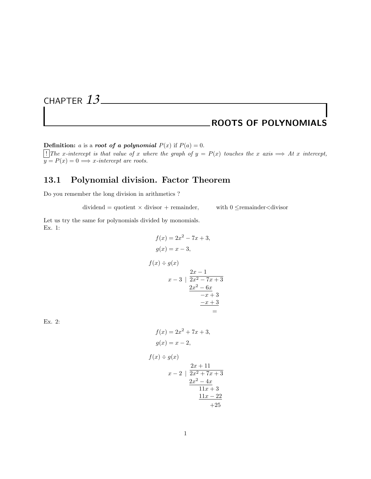# CHAPTER *13*

## ROOTS OF POLYNOMIALS

**Definition:** a is a *root* of a polynomial  $P(x)$  if  $P(a) = 0$ .

[!]The x-intercept is that value of x where the graph of  $y = P(x)$  touches the x axis ⇒ At x intercept,  $y = P(x) = 0 \Longrightarrow x\text{-}intercept are roots.$ 

### 13.1 Polynomial division. Factor Theorem

Do you remember the long division in arithmetics ?

 $dividend = quotient \times divisor + remainder, \qquad with 0 \leq remainder < divisor$ 

Let us try the same for polynomials divided by monomials. Ex. 1:

$$
f(x) = 2x^{2} - 7x + 3,
$$
  
\n
$$
g(x) = x - 3,
$$
  
\n
$$
f(x) \div g(x)
$$
  
\n
$$
x - 3 \mid \frac{2x - 1}{2x^{2} - 7x + 3}
$$
  
\n
$$
\frac{2x^{2} - 6x}{-x + 3}
$$
  
\n
$$
\frac{-x + 3}{-x + 3} = 1
$$

Ex. 2:

$$
f(x) = 2x2 + 7x + 3,
$$
  
\n
$$
g(x) = x - 2,
$$
  
\n
$$
(x) \div g(x)
$$
  
\n
$$
2x + 11
$$

 $\epsilon$  /  $\lambda$ 

 $\int$ 

$$
x-2 \mid \frac{2x^2 + 7x + 3}{2x^2 + 7x + 3}
$$

$$
\frac{2x^2 - 4x}{11x + 3}
$$

$$
\frac{11x - 22}{+25}
$$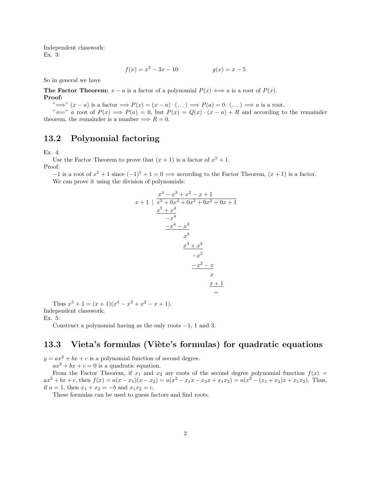Independent classwork: Ex. 3:

$$
f(x) = x^2 - 3x - 10 \qquad \qquad g(x) = x - 5
$$

So in general we have

The Factor Theorem:  $x - a$  is a factor of a polynomial  $P(x) \iff a$  is a root of  $P(x)$ . Proof:

 $\Rightarrow$ " $\implies$ "  $(x - a)$  is a factor  $\implies P(x) = (x - a) \cdot (\dots) \implies P(a) = 0 \cdot (\dots) \implies a$  is a root.

" $\iff$ " a root of  $P(x) \implies P(a) = 0$ , but  $P(x) = Q(x) \cdot (x - a) + R$  and according to the remainder theorem, the remainder is a number  $\implies R = 0$ .

#### 13.2 Polynomial factoring

Ex. 4:

Use the Factor Theorem to prove that  $(x + 1)$  is a factor of  $x^5 + 1$ . Proof:

 $-1$  is a root of  $x^5 + 1$  since  $(-1)^5 + 1 = 0 \implies$  according to the Factor Theorem,  $(x + 1)$  is a factor. We can prove it using the division of polynomials:

$$
x + 1 \mid \frac{x^4 - x^3 + x^2 - x + 1}{x^5 + 0x^4 + 0x^3 + 0x^2 + 0x + 1}
$$
  

$$
\frac{x^5 + x^4}{-x^4}
$$
  

$$
\frac{-x^4 - x^3}{x^3}
$$
  

$$
\frac{x^3 + x^2}{-x^2}
$$
  

$$
\frac{-x^2 - x}{x}
$$
  

$$
\frac{x + 1}{-x + 1}
$$

Thus  $x^5 + 1 = (x+1)(x^4 - x^3 + x^2 - x + 1).$ Independent classwork:

Ex. 5:

Construct a polynomial having as the only roots −1, 1 and 3.

#### 13.3 Vieta's formulas (Viète's formulas) for quadratic equations

 $y = ax^2 + bx + c$  is a polynomial function of second degree.

 $ax^2 + bx + c = 0$  is a quadratic equation.

From the Factor Theorem, if  $x_1$  and  $x_2$  are roots of the second degree polynomial function  $f(x)$  $ax^{2} + bx + c$ , then  $f(x) = a(x - x_{1})(x - x_{2}) = a(x^{2} - x_{1}x - x_{2}x + x_{1}x_{2}) = a(x^{2} - (x_{1} + x_{2})x + x_{1}x_{2})$ . Thus, if  $a = 1$ , then  $x_1 + x_2 = -b$  and  $x_1x_2 = c$ .

These formulas can be used to guess factors and find roots.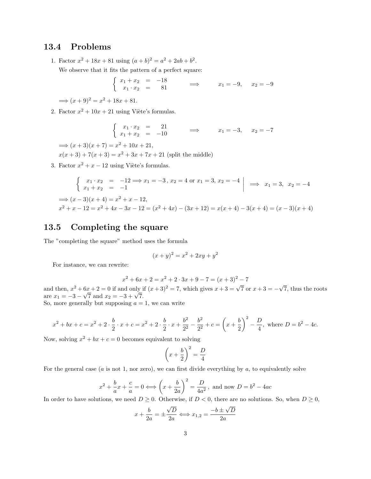#### 13.4 Problems

1. Factor  $x^2 + 18x + 81$  using  $(a+b)^2 = a^2 + 2ab + b^2$ .

We observe that it fits the pattern of a perfect square:

$$
\begin{cases}\n x_1 + x_2 &= -18 \\
 x_1 \cdot x_2 &= 81\n\end{cases} \implies x_1 = -9, \quad x_2 = -9
$$

 $\implies (x+9)^2 = x^2 + 18x + 81.$ 

2. Factor  $x^2 + 10x + 21$  using Viète's formulas.

$$
\begin{cases}\n x_1 \cdot x_2 &= 21 \\
 x_1 + x_2 &= -10\n\end{cases} \implies x_1 = -3, \quad x_2 = -7
$$

 $\implies (x+3)(x+7) = x^2 + 10x + 21,$  $x(x+3) + 7(x+3) = x^2 + 3x + 7x + 21$  (split the middle)

3. Factor  $x^2 + x - 12$  using Viète's formulas.

$$
\begin{cases}\nx_1 \cdot x_2 = -12 \implies x_1 = -3, x_2 = 4 \text{ or } x_1 = 3, x_2 = -4 \\
x_1 + x_2 = -1\n\end{cases} \implies x_1 = 3, x_2 = -4
$$
\n
$$
\implies (x - 3)(x + 4) = x^2 + x - 12,
$$
\n
$$
x^2 + x - 12 = x^2 + 4x - 3x - 12 = (x^2 + 4x) - (3x + 12) = x(x + 4) - 3(x + 4) = (x - 3)(x + 4)
$$

#### 13.5 Completing the square

The "completing the square" method uses the formula

$$
(x+y)^2 = x^2 + 2xy + y^2
$$

For instance, we can rewrite:

$$
x^{2} + 6x + 2 = x^{2} + 2 \cdot 3x + 9 - 7 = (x + 3)^{2} - 7
$$

and then,  $x^2 + 6x + 2 = 0$  if and only if  $(x+3)^2 = 7$ , which gives  $x + 3 = \sqrt{7}$  or  $x + 3 = -$ √  $6x + 2 = 0$  if and only if  $(x+3)^2 = 7$ , which gives  $x+3 = \sqrt{7}$  or  $x+3 = -\sqrt{7}$ , thus the roots and then,  $x^2 + 6x + 2 = 0$  if and only 1<br>are  $x_1 = -3 - \sqrt{7}$  and  $x_2 = -3 + \sqrt{7}$ .

So, more generally but supposing  $a = 1$ , we can write

$$
x^{2} + bx + c = x^{2} + 2 \cdot \frac{b}{2} \cdot x + c = x^{2} + 2 \cdot \frac{b}{2} \cdot x + \frac{b^{2}}{2^{2}} - \frac{b^{2}}{2^{2}} + c = \left(x + \frac{b}{2}\right)^{2} - \frac{D}{4}, \text{ where } D = b^{2} - 4c.
$$

Now, solving  $x^2 + bx + c = 0$  becomes equivalent to solving

$$
\left(x + \frac{b}{2}\right)^2 = \frac{D}{4}
$$

For the general case  $(a \text{ is not } 1, \text{ nor zero})$ , we can first divide everything by  $a$ , to equivalently solve

$$
x^{2} + \frac{b}{a}x + \frac{c}{a} = 0 \Longleftrightarrow \left(x + \frac{b}{2a}\right)^{2} = \frac{D}{4a^{2}}, \text{ and now } D = b^{2} - 4ac
$$

In order to have solutions, we need  $D \geq 0$ . Otherwise, if  $D < 0$ , there are no solutions. So, when  $D \geq 0$ ,

$$
x + \frac{b}{2a} = \pm \frac{\sqrt{D}}{2a} \Longleftrightarrow x_{1,2} = \frac{-b \pm \sqrt{D}}{2a}
$$